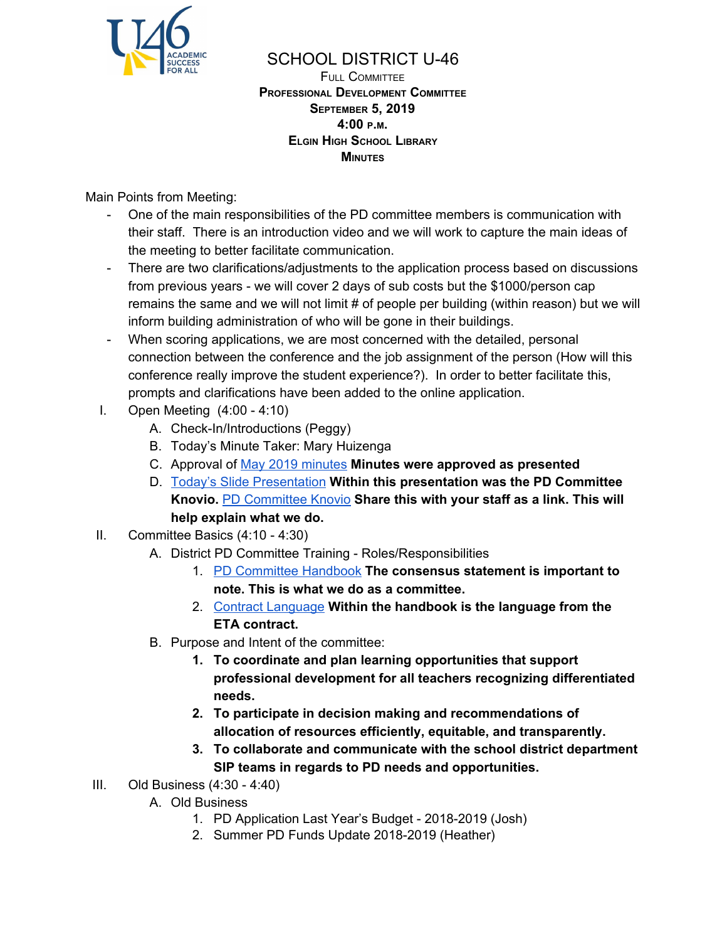

## SCHOOL DISTRICT U-46

FULL COMMITTEE **PROFESSIONAL DEVELOPMENT COMMITTEE SEPTEMBER 5, 2019 4:00 <sup>P</sup>.M. ELGIN HIGH SCHOOL LIBRARY MINUTES**

Main Points from Meeting:

- One of the main responsibilities of the PD committee members is communication with their staff. There is an introduction video and we will work to capture the main ideas of the meeting to better facilitate communication.
- There are two clarifications/adjustments to the application process based on discussions from previous years - we will cover 2 days of sub costs but the \$1000/person cap remains the same and we will not limit # of people per building (within reason) but we will inform building administration of who will be gone in their buildings.
- When scoring applications, we are most concerned with the detailed, personal connection between the conference and the job assignment of the person (How will this conference really improve the student experience?). In order to better facilitate this, prompts and clarifications have been added to the online application.
- I. Open Meeting (4:00 4:10)
	- A. Check-In/Introductions (Peggy)
	- B. Today's Minute Taker: Mary Huizenga
	- C. Approval of May 2019 [minutes](https://docs.google.com/document/d/1D-cOQkJHATCFAp5YetXe10OtqjSD4vaUmuH7AAclwqA/edit?usp=sharing) **Minutes were approved as presented**
	- D. Today's Slide [Presentation](https://docs.google.com/presentation/d/1bTMGbsZrUDmhD2gFyl4N1Z6KoIFuD7__j-1CqlGeOuI/edit?usp=sharing) **Within this presentation was the PD Committee Knovio.** PD [Committee](https://bit.ly/2P5ZF1w) Knovio **Share this with your staff as a link. This will help explain what we do.**
- II. Committee Basics (4:10 4:30)
	- A. District PD Committee Training Roles/Responsibilities
		- 1. PD [Committee](https://www.u-46.org/site/handlers/filedownload.ashx?moduleinstanceid=22098&dataid=31865&FileName=Professional%20Development%20Committee%20Handbook.pdf) Handbook **The consensus statement is important to note. This is what we do as a committee.**
		- 2. Contract [Language](https://www.u-46.org/Page/13918) **Within the handbook is the language from the ETA contract.**
	- B. Purpose and Intent of the committee:
		- **1. To coordinate and plan learning opportunities that support professional development for all teachers recognizing differentiated needs.**
		- **2. To participate in decision making and recommendations of allocation of resources efficiently, equitable, and transparently.**
		- **3. To collaborate and communicate with the school district department SIP teams in regards to PD needs and opportunities.**
- III. Old Business (4:30 4:40)
	- A. Old Business
		- 1. PD Application Last Year's Budget 2018-2019 (Josh)
		- 2. Summer PD Funds Update 2018-2019 (Heather)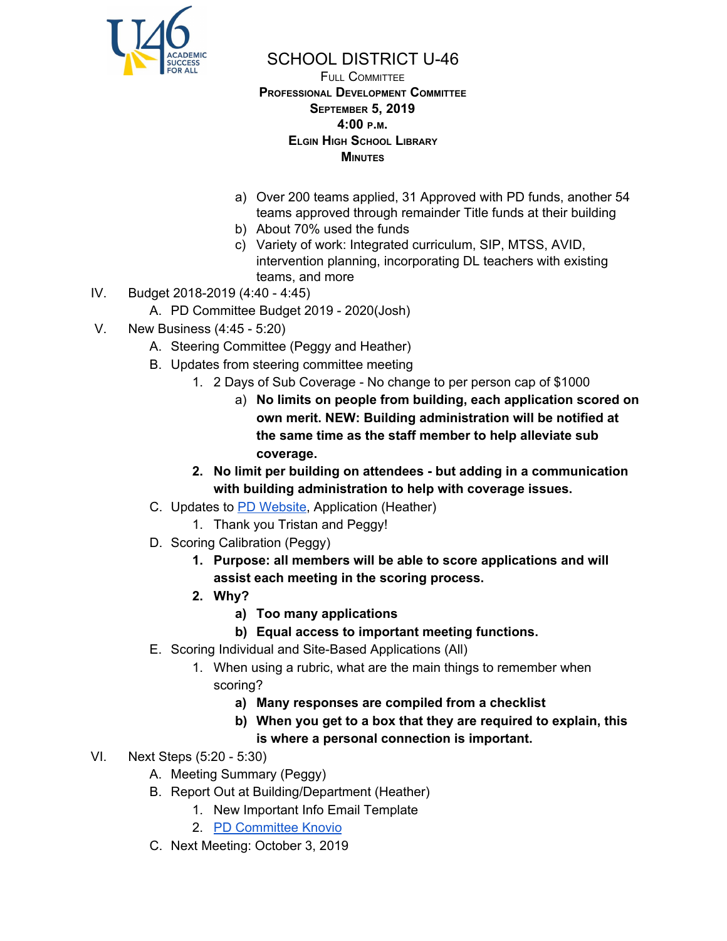

## SCHOOL DISTRICT U-46

## FULL COMMITTEE **PROFESSIONAL DEVELOPMENT COMMITTEE SEPTEMBER 5, 2019 4:00 <sup>P</sup>.M. ELGIN HIGH SCHOOL LIBRARY MINUTES**

- a) Over 200 teams applied, 31 Approved with PD funds, another 54 teams approved through remainder Title funds at their building
- b) About 70% used the funds
- c) Variety of work: Integrated curriculum, SIP, MTSS, AVID, intervention planning, incorporating DL teachers with existing teams, and more
- IV. Budget 2018-2019 (4:40 4:45)
	- A. PD Committee Budget 2019 2020(Josh)
- V. New Business (4:45 5:20)
	- A. Steering Committee (Peggy and Heather)
	- B. Updates from steering committee meeting
		- 1. 2 Days of Sub Coverage No change to per person cap of \$1000
			- a) **No limits on people from building, each application scored on own merit. NEW: Building administration will be notified at the same time as the staff member to help alleviate sub coverage.**
		- **2. No limit per building on attendees - but adding in a communication with building administration to help with coverage issues.**
	- C. Updates to PD [Website](https://www.u-46.org/Domain/6451), Application (Heather)
		- 1. Thank you Tristan and Peggy!
	- D. Scoring Calibration (Peggy)
		- **1. Purpose: all members will be able to score applications and will assist each meeting in the scoring process.**
		- **2. Why?**
			- **a) Too many applications**
			- **b) Equal access to important meeting functions.**
	- E. Scoring Individual and Site-Based Applications (All)
		- 1. When using a rubric, what are the main things to remember when scoring?
			- **a) Many responses are compiled from a checklist**
			- **b) When you get to a box that they are required to explain, this is where a personal connection is important.**
- VI. Next Steps (5:20 5:30)
	- A. Meeting Summary (Peggy)
	- B. Report Out at Building/Department (Heather)
		- 1. New Important Info Email Template
		- 2. PD [Committee](https://bit.ly/2P5ZF1w) Knovio
	- C. Next Meeting: October 3, 2019